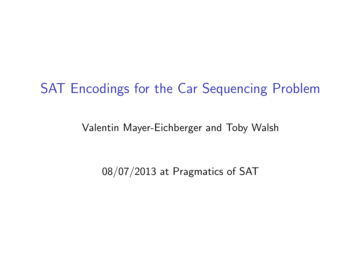#### <span id="page-0-0"></span>SAT Encodings for the Car Sequencing Problem

Valentin Mayer-Eichberger and Toby Walsh

08/07/2013 at Pragmatics of SAT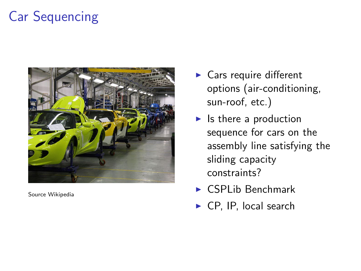# Car Sequencing



Source Wikipedia

- $\blacktriangleright$  Cars require different options (air-conditioning, sun-roof, etc.)
- $\blacktriangleright$  Is there a production sequence for cars on the assembly line satisfying the sliding capacity constraints?
- $\triangleright$  CSPL ib Benchmark
- $\triangleright$  CP, IP, local search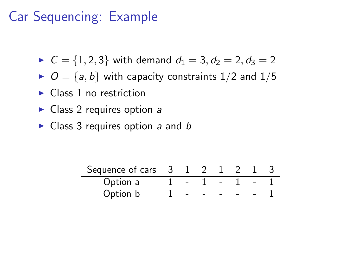# Car Sequencing: Example

- $C = \{1, 2, 3\}$  with demand  $d_1 = 3, d_2 = 2, d_3 = 2$
- $O = \{a, b\}$  with capacity constraints  $1/2$  and  $1/5$
- $\blacktriangleright$  Class 1 no restriction
- $\triangleright$  Class 2 requires option a
- $\triangleright$  Class 3 requires option a and b

| Sequence of cars $\vert$ 3 |  |  |  |  |
|----------------------------|--|--|--|--|
| Option a                   |  |  |  |  |
| Option b                   |  |  |  |  |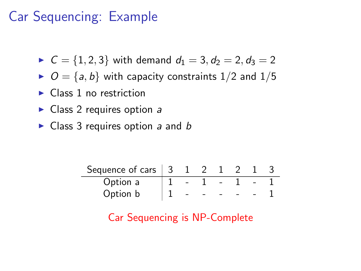# Car Sequencing: Example

 $C = \{1, 2, 3\}$  with demand  $d_1 = 3, d_2 = 2, d_3 = 2$ 

- $O = \{a, b\}$  with capacity constraints 1/2 and 1/5
- $\blacktriangleright$  Class 1 no restriction
- $\triangleright$  Class 2 requires option a
- $\triangleright$  Class 3 requires option a and b

| Sequence of cars $ 3 $ |  |  |  |  |
|------------------------|--|--|--|--|
| Option a               |  |  |  |  |
| Option b               |  |  |  |  |

Car Sequencing is NP-Complete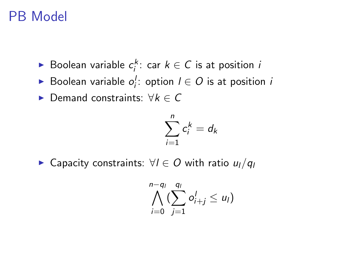## PB Model

- ► Boolean variable  $c_i^k$ : car  $k \in C$  is at position *i*
- ► Boolean variable  $o_i'$ : option  $l \in O$  is at position i
- $\triangleright$  Demand constraints:  $\forall k \in C$

$$
\sum_{i=1}^n c_i^k = d_k
$$

► Capacity constraints:  $\forall l \in O$  with ratio  $u_l/q_l$ 

$$
\bigwedge_{i=0}^{n-q_l} (\sum_{j=1}^{q_l} o_{i+j}^l \leq u_l)
$$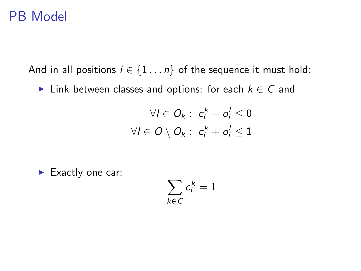#### PB Model

And in all positions  $i \in \{1 \dots n\}$  of the sequence it must hold:

► Link between classes and options: for each  $k \in C$  and

$$
\forall l \in O_k: c_i^k - o_i^l \leq 0
$$
  

$$
\forall l \in O \setminus O_k: c_i^k + o_i^l \leq 1
$$

 $\blacktriangleright$  Exactly one car:

$$
\sum_{k\in\mathsf{C}}c_i^k=1
$$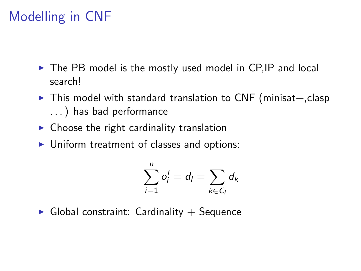# Modelling in CNF

- $\triangleright$  The PB model is the mostly used model in CP, IP and local search!
- $\triangleright$  This model with standard translation to CNF (minisat+, clasp . . . ) has bad performance
- $\triangleright$  Choose the right cardinality translation
- $\triangleright$  Uniform treatment of classes and options:

$$
\sum_{i=1}^n o_i^l = d_l = \sum_{k \in C_l} d_k
$$

 $\blacktriangleright$  Global constraint: Cardinality  $+$  Sequence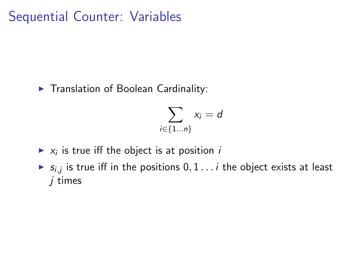Sequential Counter: Variables

 $\blacktriangleright$  Translation of Boolean Cardinality:

$$
\sum_{i\in\{1...n\}}x_i=d
$$

- $\blacktriangleright$   $x_i$  is true iff the object is at position *i*
- $\blacktriangleright$   $s_{i,j}$  is true iff in the positions  $0, 1 \ldots i$  the object exists at least j times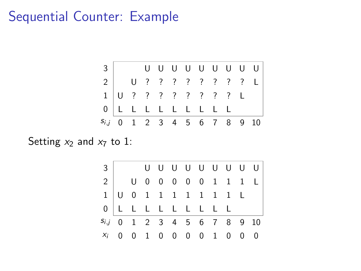#### Sequential Counter: Example



Setting  $x_2$  and  $x_7$  to 1:

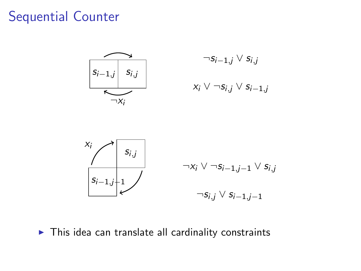#### Sequential Counter





 $\blacktriangleright$  This idea can translate all cardinality constraints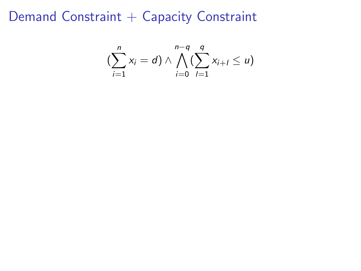Demand Constraint + Capacity Constraint

$$
\left(\sum_{i=1}^n x_i = d\right) \wedge \bigwedge_{i=0}^{n-q} \left(\sum_{l=1}^q x_{i+l} \le u\right)
$$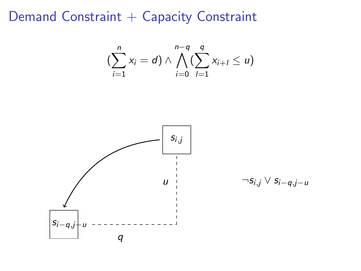Demand Constraint + Capacity Constraint

$$
\left(\sum_{i=1}^n x_i = d\right) \wedge \bigwedge_{i=0}^{n-q} \left(\sum_{l=1}^q x_{i+l} \le u\right)
$$



$$
\neg s_{i,j} \vee s_{i-q,j-u}
$$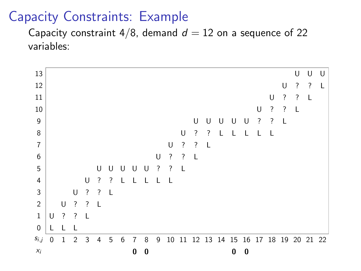#### Capacity Constraints: Example

Capacity constraint  $4/8$ , demand  $d = 12$  on a sequence of 22 variables:

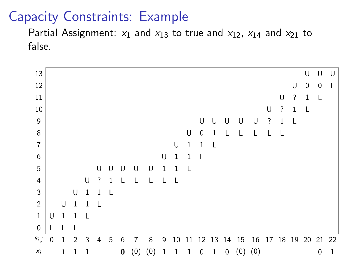#### Capacity Constraints: Example

Partial Assignment:  $x_1$  and  $x_{13}$  to true and  $x_{12}$ ,  $x_{14}$  and  $x_{21}$  to false.

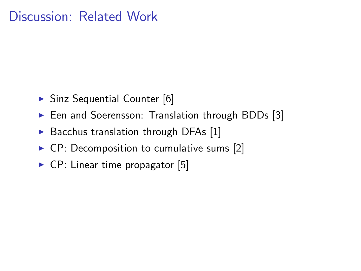#### Discussion: Related Work

- $\triangleright$  Sinz Sequential Counter [\[6\]](#page-19-0)
- Een and Soerensson: Translation through BDDs [\[3\]](#page-19-1)
- $\triangleright$  Bacchus translation through DFAs [\[1\]](#page-19-2)
- $\triangleright$  CP: Decomposition to cumulative sums [\[2\]](#page-19-3)
- $\triangleright$  CP: Linear time propagator [\[5\]](#page-19-4)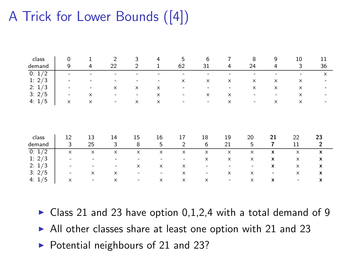# A Trick for Lower Bounds ([\[4\]](#page-19-5))

| class           | 0       | 1                         | $\overline{2}$            | 3                            | 4                        | 5                            | 6                        | 7                     | 8                            | 9                        | 10                       | 11                            |
|-----------------|---------|---------------------------|---------------------------|------------------------------|--------------------------|------------------------------|--------------------------|-----------------------|------------------------------|--------------------------|--------------------------|-------------------------------|
| demand          | 9       | 4                         | 22                        | 2                            | 1                        | 62                           | 31                       | 4                     | 24                           | 4                        | 3                        | 36                            |
| 0: 1/2          | -       |                           |                           |                              |                          | -                            | ۰                        |                       |                              |                          | -                        | $\times$                      |
| 1: $2/3$        |         |                           |                           |                              |                          | x                            | x                        | x                     | $\boldsymbol{\mathsf{x}}$    | $\boldsymbol{\times}$    | x                        |                               |
| 2: 1/3          |         | ٠                         | $\boldsymbol{\times}$     | x                            | x                        | $\qquad \qquad \blacksquare$ | ۰                        | -                     | $\boldsymbol{\mathsf{x}}$    | $\boldsymbol{\times}$    | $\times$                 |                               |
| 3:2/5           | -       | x                         | -                         | $\qquad \qquad \blacksquare$ | x                        | $\qquad \qquad \blacksquare$ | x                        | X                     | $\overline{\phantom{0}}$     | -                        | x                        |                               |
| 4: $1/5$        | x       | $\boldsymbol{\mathsf{x}}$ | -                         | x                            | x                        |                              | $\overline{\phantom{a}}$ | $\boldsymbol{\times}$ | $\overline{\phantom{a}}$     | $\boldsymbol{\times}$    | $\times$                 |                               |
| class<br>demand | 12<br>3 | 13<br>25                  | 14<br>3                   | 15<br>8                      | 16<br>5                  | 17<br>$\overline{2}$         | 18<br>6                  | 19<br>21              | 20<br>5                      | 21<br>7                  | 22<br>11                 | 23<br>$\overline{\mathbf{c}}$ |
| 0: 1/2          | x       | x                         | $\boldsymbol{\times}$     | x                            | x                        | x                            | $\times$                 | x                     | x                            | x                        | x                        | x                             |
| 1: $2/3$        | ٠       | -                         | -                         | -                            |                          | $\qquad \qquad \blacksquare$ | x                        | x                     | x                            | x                        | x                        | x                             |
| 2: 1/3          | -       |                           | ٠                         | x                            | x                        | x                            | -                        | ٠                     | $\qquad \qquad \blacksquare$ | x                        | x                        | x                             |
| 3:2/5           | -       | x                         | $\boldsymbol{\mathsf{x}}$ | $\overline{\phantom{m}}$     | $\overline{\phantom{m}}$ | x                            | -                        | x                     | x                            | $\overline{\phantom{a}}$ | x                        | x                             |
| 4: $1/5$        | ×       | -                         | x                         | ۰                            | x                        | ×                            | x                        | ۰                     | x                            | x                        | $\overline{\phantom{0}}$ | x                             |

- $\triangleright$  Class 21 and 23 have option 0,1,2,4 with a total demand of 9
- $\blacktriangleright$  All other classes share at least one option with 21 and 23
- $\triangleright$  Potential neighbours of 21 and 23?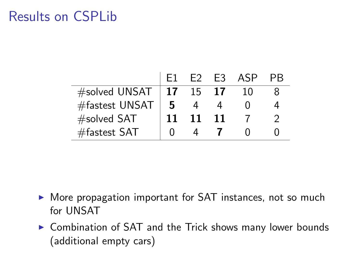## Results on CSPLib

|                 |                 |    | F <sub>2</sub> F <sub>3</sub> | ASP |  |
|-----------------|-----------------|----|-------------------------------|-----|--|
| #solved UNSAT   | $\overline{17}$ | 15 | -17                           | 10  |  |
| #fastest UNSAT  | 5               |    |                               |     |  |
| #solved SAT     |                 | 11 | -11                           |     |  |
| $#$ fastest SAT |                 |    |                               |     |  |

- $\triangleright$  More propagation important for SAT instances, not so much for UNSAT
- $\triangleright$  Combination of SAT and the Trick shows many lower bounds (additional empty cars)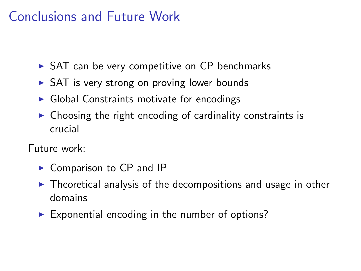## Conclusions and Future Work

- $\triangleright$  SAT can be very competitive on CP benchmarks
- $\triangleright$  SAT is very strong on proving lower bounds
- $\triangleright$  Global Constraints motivate for encodings
- $\triangleright$  Choosing the right encoding of cardinality constraints is crucial

Future work:

- $\triangleright$  Comparison to CP and IP
- $\triangleright$  Theoretical analysis of the decompositions and usage in other domains
- $\triangleright$  Exponential encoding in the number of options?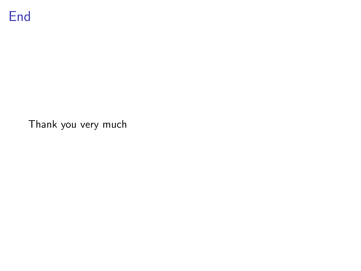

Thank you very much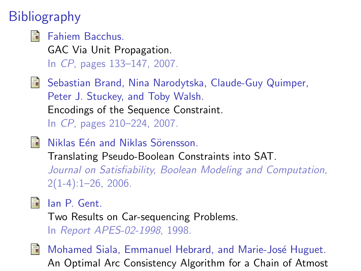# **Bibliography**

<span id="page-19-2"></span>Fahiem Bacchus. GAC Via Unit Propagation. In CP, pages 133–147, 2007.

<span id="page-19-3"></span>F Sebastian Brand, Nina Narodytska, Claude-Guy Quimper, Peter J. Stuckey, and Toby Walsh. Encodings of the Sequence Constraint. In CP, pages 210–224, 2007.

<span id="page-19-1"></span>量 Niklas Eén and Niklas Sörensson.

> Translating Pseudo-Boolean Constraints into SAT. Journal on Satisfiability, Boolean Modeling and Computation,  $2(1-4):1-26, 2006.$

<span id="page-19-5"></span>

Ian P. Gent.

Two Results on Car-sequencing Problems. In Report APES-02-1998, 1998.

<span id="page-19-4"></span><span id="page-19-0"></span>

Mohamed Siala, Emmanuel Hebrard, and Marie-José Huguet. An Optimal Arc Consistency Algorithm for a Chain of Atmost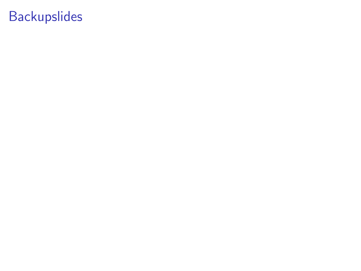# Backupslides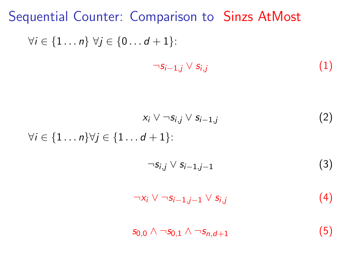Sequential Counter: Comparison to Sinzs AtMost  $\forall i \in \{1 \dots n\} \ \forall j \in \{0 \dots d+1\}$ :

$$
\neg s_{i-1,j} \lor s_{i,j} \tag{1}
$$

$$
x_i \vee \neg s_{i,j} \vee s_{i-1,j} \tag{2}
$$

$$
\forall i \in \{1 \dots n\} \forall j \in \{1 \dots d+1\}:\n\qquad \qquad \neg s_{i,j} \vee s_{i-1,j-1} \tag{3}
$$

<span id="page-21-0"></span>
$$
\neg x_i \vee \neg s_{i-1,j-1} \vee s_{i,j} \tag{4}
$$

 $s_{0,0} \wedge \neg s_{0,1} \wedge \neg s_{n,d+1}$  (5)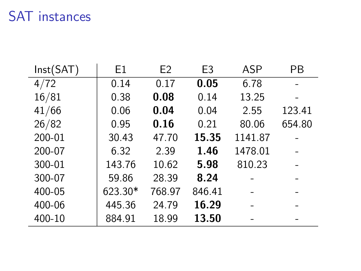## SAT instances

| Inst(SAT) | E1      | E <sub>2</sub> | E <sub>3</sub> | <b>ASP</b> | PB     |
|-----------|---------|----------------|----------------|------------|--------|
| 4/72      | 0.14    | 0.17           | 0.05           | 6.78       |        |
| 16/81     | 0.38    | 0.08           | 0.14           | 13.25      |        |
| 41/66     | 0.06    | 0.04           | 0.04           | 2.55       | 123.41 |
| 26/82     | 0.95    | 0.16           | 0.21           | 80.06      | 654.80 |
| 200-01    | 30.43   | 47.70          | 15.35          | 1141.87    |        |
| 200-07    | 6.32    | 2.39           | 1.46           | 1478.01    |        |
| 300-01    | 143.76  | 10.62          | 5.98           | 810.23     |        |
| 300-07    | 59.86   | 28.39          | 8.24           |            |        |
| 400-05    | 623.30* | 768.97         | 846.41         |            |        |
| 400-06    | 445.36  | 24.79          | 16.29          |            |        |
| 400-10    | 884.91  | 18.99          | 13.50          |            |        |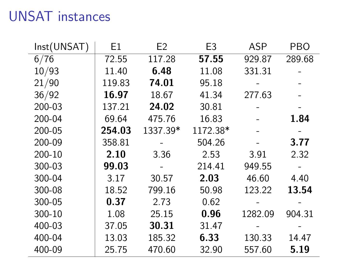# UNSAT instances

| Inst(UNSAT)       | E1     | E <sub>2</sub> | E <sub>3</sub> | ASP     | PBO    |
|-------------------|--------|----------------|----------------|---------|--------|
| $6/\overline{76}$ | 72.55  | 117.28         | 57.55          | 929.87  | 289.68 |
| 10/93             | 11.40  | 6.48           | 11.08          | 331.31  |        |
| 21/90             | 119.83 | 74.01          | 95.18          |         |        |
| 36/92             | 16.97  | 18.67          | 41.34          | 277.63  |        |
| 200-03            | 137.21 | 24.02          | 30.81          |         |        |
| 200-04            | 69.64  | 475.76         | 16.83          |         | 1.84   |
| 200-05            | 254.03 | 1337.39*       | 1172.38*       |         |        |
| 200-09            | 358.81 |                | 504.26         |         | 3.77   |
| 200-10            | 2.10   | 3.36           | 2.53           | 3.91    | 2.32   |
| 300-03            | 99.03  |                | 214.41         | 949.55  |        |
| 300-04            | 3.17   | 30.57          | 2.03           | 46.60   | 4.40   |
| 300-08            | 18.52  | 799.16         | 50.98          | 123.22  | 13.54  |
| 300-05            | 0.37   | 2.73           | 0.62           |         |        |
| 300-10            | 1.08   | 25.15          | 0.96           | 1282.09 | 904.31 |
| 400-03            | 37.05  | 30.31          | 31.47          |         |        |
| 400-04            | 13.03  | 185.32         | 6.33           | 130.33  | 14.47  |
| 400-09            | 25.75  | 470.60         | 32.90          | 557.60  | 5.19   |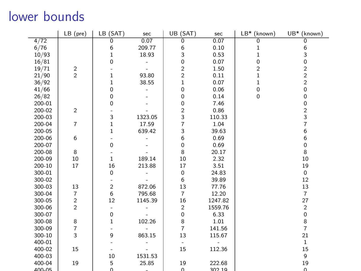## lower bounds

|        | $LB$ (pre)              | LB (SAT)                | sec     | UB (SAT)                | sec     | LB*<br>(known) | UB*<br>(known)          |
|--------|-------------------------|-------------------------|---------|-------------------------|---------|----------------|-------------------------|
| 4/72   |                         | 0                       | 0.07    | 0                       | 0.07    | 0              | 0                       |
| 6/76   |                         | 6                       | 209.77  | 6                       | 0.10    | 1              | 6                       |
| 10/93  |                         | 1                       | 18.93   | 3                       | 0.53    | 1              | 3                       |
| 16/81  |                         | 0                       |         | 0                       | 0.07    | 0              | 0                       |
| 19/71  | $\frac{2}{2}$           |                         |         | 2                       | 1.50    | 2              | $\overline{\mathbf{c}}$ |
| 21/90  |                         | 1                       | 93.80   | $\overline{\mathbf{c}}$ | 0.11    | $\mathbf{1}$   | $\overline{\mathbf{c}}$ |
| 36/92  |                         | 1                       | 38.55   | $\mathbf{1}$            | 0.07    | 1              | $\overline{c}$          |
| 41/66  |                         | 0                       |         | 0                       | 0.06    | 0              | $\mathsf 0$             |
| 26/82  |                         | 0                       |         | 0                       | 0.14    | $\mathbf 0$    | 0                       |
| 200-01 |                         | 0                       |         | 0                       | 7.46    |                | 0                       |
| 200-02 | $\overline{\mathbf{c}}$ |                         |         |                         | 0.86    |                | $\frac{2}{3}$           |
| 200-03 |                         | 3                       | 1323.05 | 2<br>3                  | 110.33  |                |                         |
| 200-04 | 7                       | 1                       | 17.59   | $\overline{7}$          | 1.04    |                | $\overline{7}$          |
| 200-05 |                         | 1                       | 639.42  | 3                       | 39.63   |                | 6                       |
| 200-06 | 6                       |                         |         | 6                       | 0.69    |                | 6                       |
| 200-07 |                         | 0                       |         | 0                       | 0.69    |                | 0                       |
| 200-08 | 8                       |                         |         | 8                       | 20.17   |                | 8                       |
| 200-09 | 10                      | 1                       | 189.14  | 10                      | 2.32    |                | 10                      |
| 200-10 | 17                      | 16                      | 213.88  | 17                      | 3.51    |                | 19                      |
| 300-01 |                         | 0                       |         | 0                       | 24.83   |                | 0                       |
| 300-02 |                         |                         |         | 6                       | 39.89   |                | 12                      |
| 300-03 | 13                      | $\overline{\mathbf{c}}$ | 872.06  | 13                      | 77.76   |                | 13                      |
| 300-04 | $\overline{7}$          | 6                       | 795.68  | $\overline{7}$          | 12.20   |                | $\overline{7}$          |
| 300-05 | $\frac{2}{2}$           | 12                      | 1145.39 | 16                      | 1247.82 |                | 27                      |
| 300-06 |                         |                         |         | $\overline{c}$          | 1559.76 |                | $\overline{c}$          |
| 300-07 |                         | 0                       |         | 0                       | 6.33    |                | 0                       |
| 300-08 | 8                       | $\mathbf{1}$            | 102.26  | 8                       | 1.01    |                | $\bf 8$                 |
| 300-09 | $\overline{7}$          |                         |         | $\overline{7}$          | 141.56  |                | $\overline{7}$          |
| 300-10 | 3                       | 9                       | 863.15  | 13                      | 115.67  |                | 21                      |
| 400-01 |                         |                         |         |                         |         |                | $\,1$                   |
| 400-02 | 15                      |                         |         | 15                      | 112.36  |                | 15                      |
| 400-03 |                         | 10                      | 1531.53 |                         |         |                | 9                       |
| 400-04 | 19                      | 5                       | 25.85   | 19                      | 222.68  |                | 19                      |
| 400-05 |                         | $\Omega$                |         | $\Omega$                | 302.10  |                | $\Omega$                |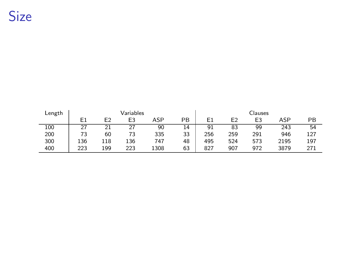# Size

| Length |                |     | Variables      |      |    |     |                | Clauses        |      |     |
|--------|----------------|-----|----------------|------|----|-----|----------------|----------------|------|-----|
|        | E <sub>1</sub> | E2  | E <sub>3</sub> | ASP  | PB | E1  | E <sub>2</sub> | E <sub>3</sub> | ASP  | PB  |
| 100    |                |     | 27             | 90   | 14 | 91  | 83             | 99             | 243  | 54  |
| 200    | 73             | 60  | 73             | 335  | 33 | 256 | 259            | 291            | 946  | 127 |
| 300    | 136            | 118 | 136            | 747  | 48 | 495 | 524            | 573            | 2195 | 197 |
| 400    | 223            | 199 | 223            | 1308 | 63 | 827 | 907            | 972            | 3879 | 271 |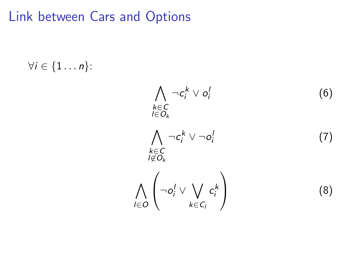### Link between Cars and Options

 $\forall i \in \{1 \ldots n\}$ :

$$
\bigwedge_{k \in C} \neg c_i^k \lor o_i^l \tag{6}
$$
\n
$$
\bigwedge_{l \in O_k} \neg c_i^k \lor \neg o_i^l \tag{7}
$$
\n
$$
\bigwedge_{l \notin O_k} \neg c_i^l \lor \bigvee_{k \in C_l} c_i^k \tag{8}
$$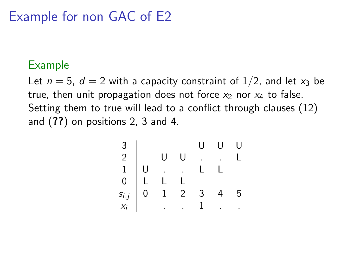## Example for non GAC of E2

#### Example

Let  $n = 5$ ,  $d = 2$  with a capacity constraint of  $1/2$ , and let  $x_3$  be true, then unit propagation does not force  $x_2$  nor  $x_4$  to false. Setting them to true will lead to a conflict through clauses [\(12\)](#page-21-0) and ([??](#page-0-0)) on positions 2, 3 and 4.